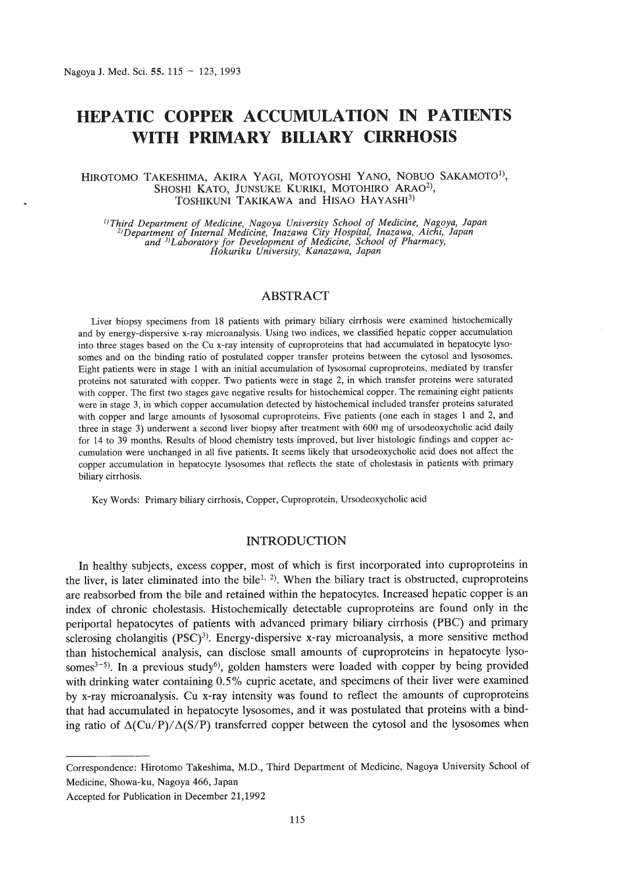# **HEPATIC COPPER ACCUMULATION IN PATIENTS WITH PRIMARY BILIARY CIRRHOSIS**

### HIROTOMO TAKESHIMA, AKIRA YAGI, MOTOYOSHI YANO, NOBUO SAKAMOTO!), SHOSHI KATO, JUNSUKE KURIKI, MOTOHIRO ARAO<sup>2)</sup>, TOSHIKUNI TAKIKAWA and HISAO HAYASHI<sup>3)</sup>

Firling Department of Medicine, Nagoya University School of Medicine, Nagoya, Japan<br><sup>2)</sup>Department of Internal Medicine, Inazawa City Hospital, Inazawa, Aichi, Japan<br>and <sup>3)</sup>Laboratory for Development of Medicine, School

# ABSTRACT

Liver biopsy specimens from 18 patients with primary biliary cirrhosis were examined histochemically and by energy-dispersive x-ray microanalysis. Using two indices, we classified hepatic copper accumulation into three stages based on the Cu x-ray intensity of cuproproteins that had accumulated in hepatocyte lysosomes and on the binding ratio of postulated copper transfer proteins between the cytosol and Iysosomes. Eight patients were in stage 1 with an initial accumulation of lysosomal cuproproteins, mediated by transfer proteins not saturated with copper. Two patients were in stage 2, in which transfer proteins were saturated with copper. The first two stages gave negative results for histochemical copper. The remaining eight patients were in stage 3, in which copper accumulation detected by histochemical included transfer proteins saturated with copper and large amounts of lysosomal cuproproteins. Five patients (one each in stages 1 and 2, and three in stage 3) underwent a second liver biopsy after treatment with 600 mg of ursodeoxycholic acid daily for 14 to 39 months. Results of blood chemistry tests improved, but liver histologic findings and copper accumulation were unchanged in all five patients. It seems likely that ursodeoxycholic acid does not affect the copper accumulation in hepatocyte Iysosomes that reflects the state of cholestasis in patients with primary biliary cirrhosis.

Key Words: Primary biliary cirrhosis, Copper, Cuproprotein, Ursodeoxycholic acid

#### INTRODUCTION

In healthy subjects, excess copper, most of which is first incorporated into cuproproteins in the liver, is later eliminated into the bile<sup>1, 2)</sup>. When the biliary tract is obstructed, cuproproteins are reabsorbed from the bile and retained within the hepatocytes. Increased hepatic copper is an index of chronic cholestasis. Histochemically detectable cuproproteins are found only in the periportal hepatocytes of patients with advanced primary biliary cirrhosis (PBC) and primary sclerosing cholangitis  $(PSC)^3$ . Energy-dispersive x-ray microanalysis, a more sensitive method than histochemical analysis, can disclose small amounts of cuproproteins in hepatocyte Iysosomes<sup>3-5)</sup>. In a previous study<sup>6</sup>, golden hamsters were loaded with copper by being provided with drinking water containing 0.5% cupric acetate, and specimens of their liver were examined by x-ray microanalysis. Cu x-ray intensity was found to reflect the amounts of cuproproteins that had accumulated in hepatocyte lysosomes, and it was postulated that proteins with a binding ratio of  $\Delta$ (Cu/P)/ $\Delta$ (S/P) transferred copper between the cytosol and the lysosomes when

Correspondence: Hirotomo Takeshima, M.D., Third Department of Medicine, Nagoya University School of Medicine, Showa-ku, Nagoya 466, Japan

Accepted for Publication in December 21,1992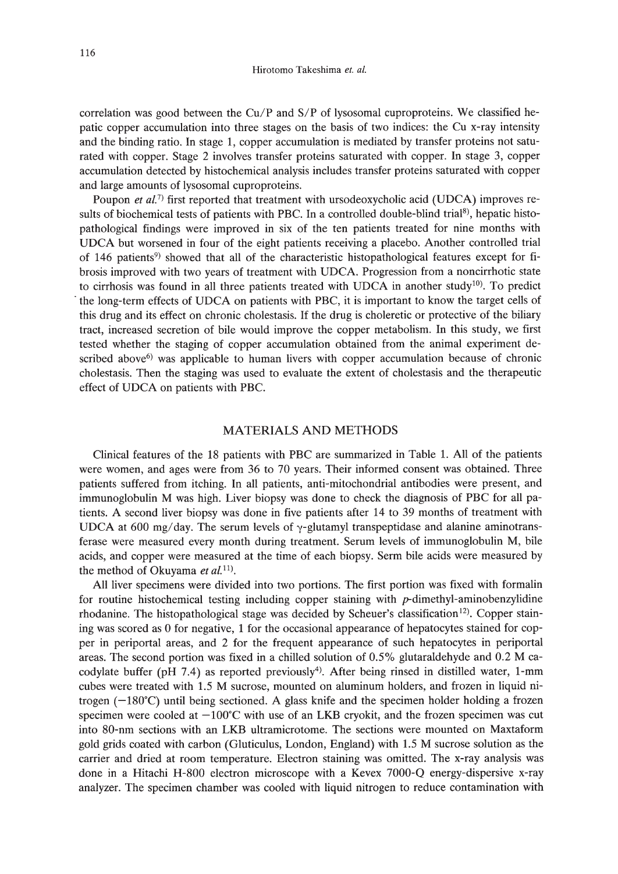correlation was good between the Cu/P and S/P of lysosomal cuproproteins. We classified hepatic copper accumulation into three stages on the basis of two indices: the Cu x-ray intensity and the binding ratio. In stage 1, copper accumulation is mediated by transfer proteins not saturated with copper. Stage 2 involves transfer proteins saturated with copper. In stage 3, copper accumulation detected by histochemical analysis includes transfer proteins saturated with copper and large amounts of lysosomal cuproproteins.

Poupon *et al.*<sup>7)</sup> first reported that treatment with ursodeoxycholic acid (UDCA) improves results of biochemical tests of patients with PBC. In a controlled double-blind trial<sup>8</sup>, hepatic histopathological findings were improved in six of the ten patients treated for nine months with UDCA but worsened in four of the eight patients receiving a placebo. Another controlled trial of 146 patients<sup>9)</sup> showed that all of the characteristic histopathological features except for fibrosis improved with two years of treatment with UDCA. Progression from a noncirrhotic state to cirrhosis was found in all three patients treated with UDCA in another study<sup>10)</sup>. To predict . the long-term effects of UDCA on patients with PBC, it is important to know the target cells of this drug and its effect on chronic cholestasis. If the drug is choleretic or protective of the biliary tract, increased secretion of bile would improve the copper metabolism. In this study, we first tested whether the staging of copper accumulation obtained from the animal experiment described above<sup>6)</sup> was applicable to human livers with copper accumulation because of chronic cholestasis. Then the staging was used to evaluate the extent of cholestasis and the therapeutic effect of UDCA on patients with PBC.

# MATERIALS AND METHODS

Clinical features of the 18 patients with PBC are summarized in Table 1. All of the patients were women, and ages were from 36 to 70 years. Their informed consent was obtained. Three patients suffered from itching. In all patients, anti-mitochondrial antibodies were present, and immunoglobulin M was high. Liver biopsy was done to check the diagnosis of PBC for all patients. A second liver biopsy was done in five patients after 14 to 39 months of treatment with UDCA at 600 mg/day. The serum levels of  $\gamma$ -glutamyl transpeptidase and alanine aminotransferase were measured every month during treatment. Serum levels of immunoglobulin M, bile acids, and copper were measured at the time of each biopsy. Serm bile acids were measured by the method of Okuyama *et al.*<sup>11</sup>).

All liver specimens were divided into two portions. The first portion was fixed with formalin for routine histochemical testing including copper staining with  $p$ -dimethyl-aminobenzylidine rhodanine. The histopathological stage was decided by Scheuer's classification<sup>12)</sup>. Copper staining was scored as 0 for negative, 1 for the occasional appearance of hepatocytes stained for copper in periportal areas, and 2 for the frequent appearance of such hepatocytes in periportal areas. The second portion was fixed in a chilled solution of 0.5% glutaraldehyde and 0.2 M cacodylate buffer (pH 7.4) as reported previously<sup>4</sup>. After being rinsed in distilled water, 1-mm cubes were treated with 1.5 M sucrose, mounted on aluminum holders, and frozen in liquid nitrogen  $(-180^{\circ}\text{C})$  until being sectioned. A glass knife and the specimen holder holding a frozen specimen were cooled at  $-100^{\circ}$ C with use of an LKB cryokit, and the frozen specimen was cut into 80-nm sections with an LKB ultramicrotome. The sections were mounted on Maxtaform gold grids coated with carbon (Gluticulus, London, England) with 1.5 M sucrose solution as the carrier and dried at room temperature. Electron staining was omitted. The x-ray analysis was done in a Hitachi H-800 electron microscope with a Kevex 7000-Q energy-dispersive x-ray analyzer. The specimen chamber was cooled with liquid nitrogen to reduce contamination with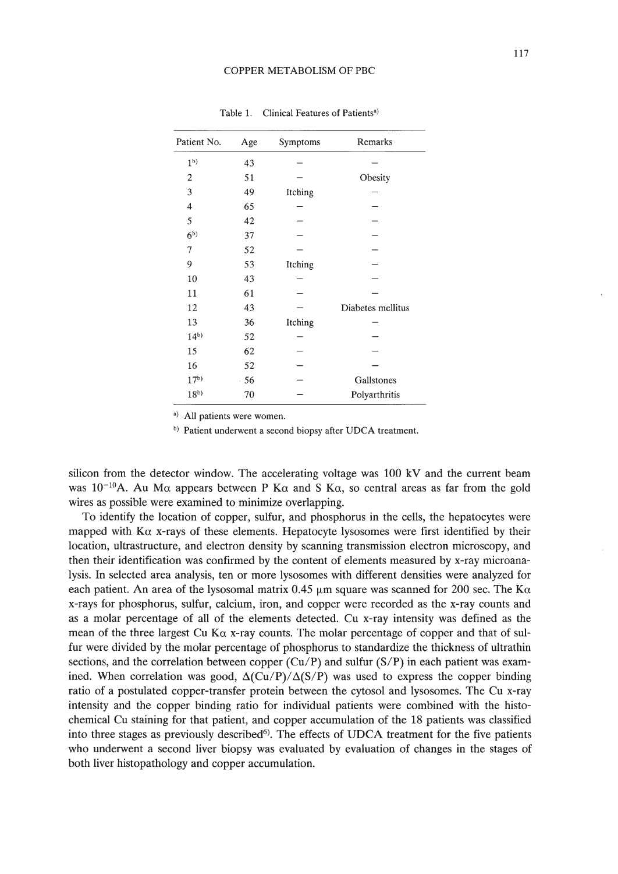| Patient No.    | Age | Symptoms | Remarks           |
|----------------|-----|----------|-------------------|
| 1 <sub>b</sub> | 43  |          |                   |
| 2              | 51  |          | Obesity           |
| 3              | 49  | Itching  |                   |
| 4              | 65  |          |                   |
| 5              | 42  |          |                   |
| 6 <sup>b</sup> | 37  |          |                   |
| 7              | 52  |          |                   |
| 9              | 53  | Itching  |                   |
| 10             | 43  |          |                   |
| 11             | 61  |          |                   |
| 12             | 43  |          | Diabetes mellitus |
| 13             | 36  | Itching  |                   |
| $14^{b}$       | 52  |          |                   |
| 15             | 62  |          |                   |
| 16             | 52  |          |                   |
| $17^{b}$       | 56  |          | Gallstones        |
| $18^{b}$       | 70  |          | Polyarthritis     |
|                |     |          |                   |

Table 1. Clinical Features of Patients<sup>a)</sup>

a) All patients were women.

b) Patient underwent a second biopsy after UDCA treatment.

silicon from the detector window. The accelerating voltage was 100 kV and the current beam was 10<sup>-10</sup>A. Au M $\alpha$  appears between P K $\alpha$  and S K $\alpha$ , so central areas as far from the gold wires as possible were examined to minimize overlapping.

To identify the location of copper, sulfur, and phosphorus in the cells, the hepatocytes were mapped with  $K\alpha$  x-rays of these elements. Hepatocyte lysosomes were first identified by their location, ultrastructure, and electron density by scanning transmission electron microscopy, and then their identification was confirmed by the content of elements measured by x-ray microanalysis. **In** selected area analysis, ten or more Iysosomes with different densities were analyzed for each patient. An area of the lysosomal matrix 0.45  $\mu$ m square was scanned for 200 sec. The K $\alpha$ x-rays for phosphorus, sulfur, calcium, iron, and copper were recorded as the x-ray counts and as a molar percentage of all of the elements detected. Cu x-ray intensity was defined as the mean of the three largest Cu K $\alpha$  x-ray counts. The molar percentage of copper and that of sulfur were divided by the molar percentage of phosphorus to standardize the thickness of ultrathin sections, and the correlation between copper *(Cu/P)* and sulfur *(S/P)* in each patient was examined. When correlation was good,  $\Delta(Cu/P)/\Delta(S/P)$  was used to express the copper binding ratio of a postulated copper-transfer protein between the cytosol and Iysosomes. The Cu x-ray intensity and the copper binding ratio for individual patients were combined with the histochemical Cu staining for that patient, and copper accumulation of the 18 patients was classified into three stages as previously described<sup>6</sup>). The effects of UDCA treatment for the five patients who underwent a second liver biopsy was evaluated by evaluation of changes **in** the stages of both liver histopathology and copper accumulation.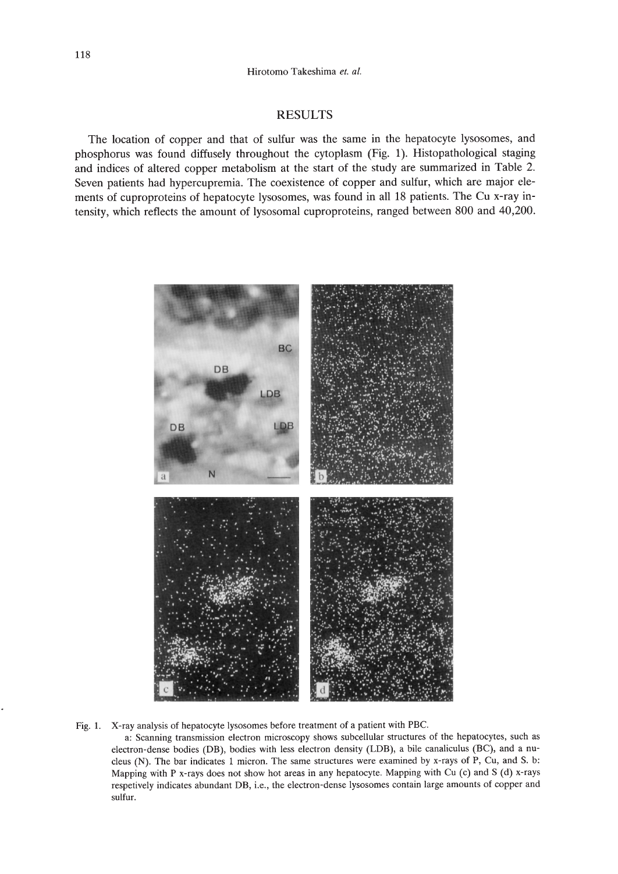# RESULTS

The location of copper and that of sulfur was the same in the hepatocyte Iysosomes, and phosphorus was found diffusely throughout the cytoplasm (Fig. 1). Histopathological staging and indices of altered copper metabolism at the start of the study are summarized in Table 2. Seven patients had hypercupremia. The coexistence of copper and sulfur, which are major elements of cuproproteins of hepatocyte lysosomes, was found in all 18 patients. The Cu x-ray intensity, which reflects the amount of lysosomal cuproproteins, ranged between 800 and 40,200.



Fig. 1. X-ray analysis of hepatocyte lysosomes before treatment of a patient with PBC.

a: Scanning transmission electron microscopy shows subcellular structures of the hepatocytes, such as electron-dense bodies (DB), bodies with less electron density (LOB), a bile canaliculus (BC), and a nucleus (N). The bar indicates 1 micron. The same structures were examined by x-rays of P, Cu, and S. b: Mapping with P x-rays does not show hot areas in any hepatocyte. Mapping with Cu (c) and S (d) x-rays respetively indicates abundant DB, i.e., the electron-dense lysosomes contain large amounts of copper and sulfur.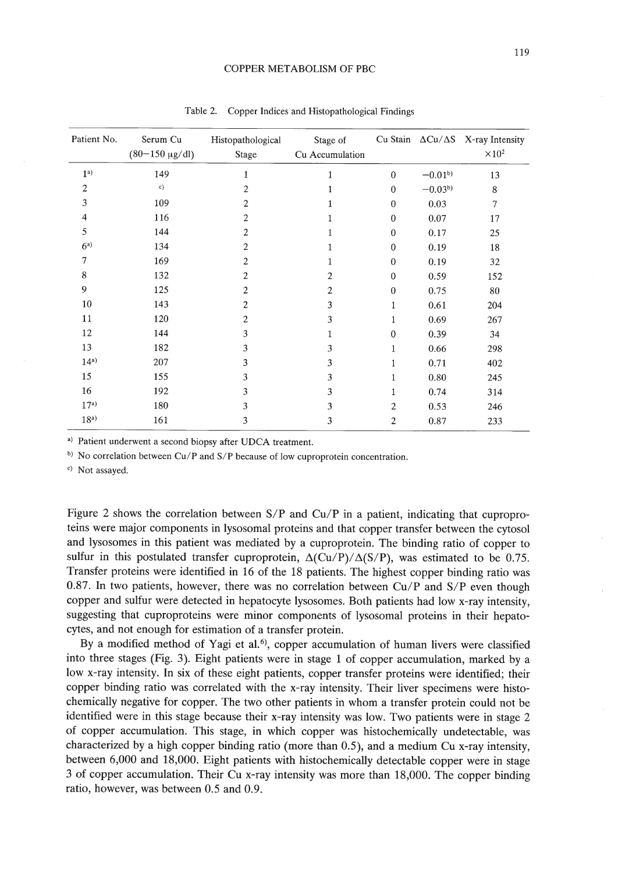#### COPPER METABOLISM OF PBC

| Patient No.     | Serum Cu<br>$(80-150 \text{ µg/dl})$ | Histopathological<br>Stage | Stage of<br>Cu Accumulation |                  |             | Cu Stain $\Delta$ Cu/ $\Delta$ S X-ray Intensity<br>$\times 10^2$ |
|-----------------|--------------------------------------|----------------------------|-----------------------------|------------------|-------------|-------------------------------------------------------------------|
| 1 <sup>a</sup>  | 149                                  | 1                          | 1                           | $\mathbf{0}$     | $-0.01^{b}$ | 13                                                                |
| 2               | c)                                   | 2                          |                             | $\mathbf{0}$     | $-0.03b$    | 8                                                                 |
| 3               | 109                                  | 2                          |                             | $\boldsymbol{0}$ | 0.03        | $\tau$                                                            |
| 4               | 116                                  | $\mathbf{2}$               | 1                           | $\mathbf{0}$     | 0.07        | 17                                                                |
| 5               | 144                                  | 2                          | 1                           | $\bf{0}$         | 0.17        | 25                                                                |
| $6^{a}$         | 134                                  | 2                          | 1                           | $\boldsymbol{0}$ | 0.19        | 18                                                                |
| 7               | 169                                  | 2                          | 1                           | $\bf{0}$         | 0.19        | 32                                                                |
| 8               | 132                                  | 2                          | $\overline{2}$              | $\mathbf{0}$     | 0.59        | 152                                                               |
| 9               | 125                                  | 2                          | 2                           | $\theta$         | 0.75        | 80                                                                |
| 10              | 143                                  | 2                          | 3                           | 1                | 0.61        | 204                                                               |
| 11              | 120                                  | 2                          | 3                           | 1                | 0.69        | 267                                                               |
| 12              | 144                                  | 3                          | 1                           | $\bf{0}$         | 0.39        | 34                                                                |
| 13              | 182                                  | 3                          | 3                           | $\mathbf{1}$     | 0.66        | 298                                                               |
| $14^{a}$        | 207                                  | 3                          | 3                           | $\mathbf{1}$     | 0.71        | 402                                                               |
| 15              | 155                                  | 3                          | 3                           | 1                | 0.80        | 245                                                               |
| 16              | 192                                  | 3                          | 3                           | 1                | 0.74        | 314                                                               |
| $17^{a}$        | 180                                  | 3                          | 3                           | $\overline{c}$   | 0.53        | 246                                                               |
| 18 <sup>a</sup> | 161                                  | 3                          | 3                           | 2                | 0.87        | 233                                                               |

Table 2. Copper Indices and Histopathological Findings

» Patient underwent a second biopsy after UDCA treatment.

b) No correlation between Cu/P and S/P because of low cuproprotein concentration.

c) Not assayed.

Figure 2 shows the correlation between  $S/P$  and  $Cu/P$  in a patient, indicating that cuproproteins were major components in lysosomal proteins and that copper transfer between the cytosol and lysosomes in this patient was mediated by a cuproprotein. The binding ratio of copper to sulfur in this postulated transfer cuproprotein,  $\Delta$ (Cu/P)/ $\Delta$ (S/P), was estimated to be 0.75. Transfer proteins were identified in 16 of the 18 patients. The highest copper binding ratio was 0.87. In two patients, however, there was no correlation between *Cu/P* and *SIP* even though copper and sulfur were detected in hepatocyte lysosomes. Both patients had low x-ray intensity, suggesting that cuproproteins were minor components of lysosomal proteins in their hepatocytes, and not enough for estimation of a transfer protein.

By a modified method of Yagi et al.<sup>6)</sup>, copper accumulation of human livers were classified into three stages (Fig. 3). Eight patients were in stage 1 of copper accumulation, marked by a low x-ray intensity. In six of these eight patients, copper transfer proteins were identified; their copper binding ratio was correlated with the x-ray intensity. Their liver specimens were histochemically negative for copper. The two other patients in whom a transfer protein could not be identified were in this stage because their x-ray intensity was low. Two patients were in stage 2 of copper accumulation. This stage, in which copper was histochemically undetectable, was characterized by a high copper binding ratio (more than 0.5), and a medium Cu x-ray intensity, between 6,000 and 18,000. Eight patients with histochemically detectable copper were in stage 3 of copper accumulation. Their Cu x-ray intensity was more than 18,000. The copper binding ratio, however, was between 0.5 and 0.9.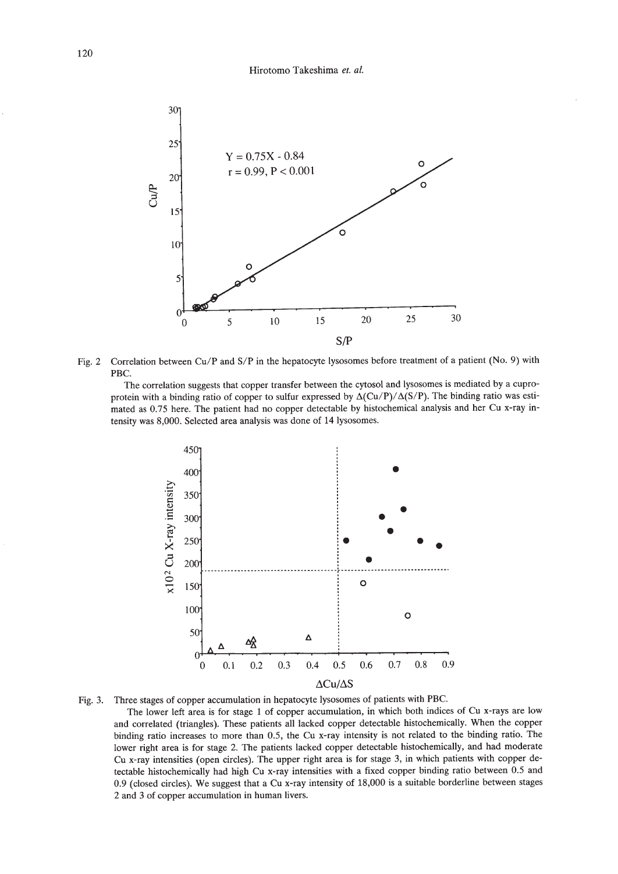

Fig. 2 Correlation between Cu/P and S/P in the hepatocyte lysosomes before treatment of a patient (No. 9) with PBC.

The correlation suggests that copper transfer between the cytosol and Iysosomes is mediated by a cuproprotein with a binding ratio of copper to sulfur expressed by  $\Delta(Cu/P)/\Delta(S/P)$ . The binding ratio was estimated as 0.75 here. The patient had no copper detectable by histochemical analysis and her Cu x-ray intensity was 8,000. Selected area analysis was done of 14 lysosomes.



Fig. 3. Three stages of copper accumulation in hepatocyte Iysosomes of patients with PBC.

The lower left area is for stage 1 of copper accumulation, in which both indices of Cu x-rays are low and correlated (triangles). These patients all lacked copper detectable histochemically. When the copper binding ratio increases to more than 0.5, the Cu x-ray intensity is not related to the binding ratio. The lower right area is for stage 2. The patients lacked copper detectable histochemically, and had moderate Cu x-ray intensities (open circles). The upper right area is for stage 3, in which patients with copper detectable histochemically had high Cu x-ray intensities with a fixed copper binding ratio between 0.5 and 0.9 (closed circles). We suggest that a Cu x-ray intensity of 18,000 is a suitable borderline between stages 2 and 3 of copper accumulation in human livers.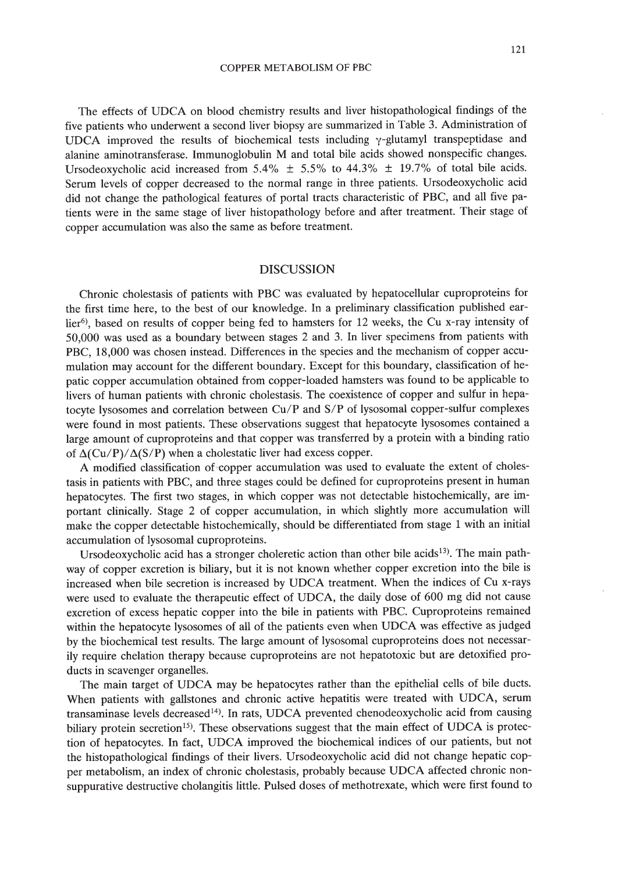The effects of UDCA on blood chemistry results and liver histopathological findings of the five patients who underwent a second liver biopsy are summarized in Table 3. Administration of UDCA improved the results of biochemical tests including  $\gamma$ -glutamyl transpeptidase and alanine aminotransferase. Immunoglobulin M and total bile acids showed nonspecific changes. Ursodeoxycholic acid increased from 5.4%  $\pm$  5.5% to 44.3%  $\pm$  19.7% of total bile acids. Serum levels of copper decreased to the normal range in three patients. Ursodeoxycholic acid did not change the pathological features of portal tracts characteristic of PBC, and all five patients were in the same stage of liver histopathology before and after treatment. Their stage of copper accumulation was also the same as before treatment.

#### DISCUSSION

Chronic cholestasis of patients with PBC was evaluated by hepatocellular cuproproteins for the first time here, to the best of our knowledge. In a preliminary classification published earlier<sup>6)</sup>, based on results of copper being fed to hamsters for 12 weeks, the Cu x-ray intensity of 50,000 was used as a boundary between stages 2 and 3. In liver specimens from patients with PBC, 18,000 was chosen instead. Differences in the species and the mechanism of copper accumulation may account for the different boundary. Except for this boundary, classification of hepatic copper accumulation obtained from copper-loaded hamsters was found to be applicable to livers of human patients with chronic cholestasis. The coexistence of copper and sulfur in hepatocyte lysosomes and correlation between Cu/P and S/P of lysosomal copper-sulfur complexes were found in most patients. These observations suggest that hepatocyte lysosomes contained a large amount of cuproproteins and that copper was transferred by a protein with a binding ratio of  $\Delta$ (Cu/P)/ $\Delta$ (S/P) when a cholestatic liver had excess copper.

A modified classification of copper accumulation was used to evaluate the extent of cholestasis in patients with PBC, and three stages could be defined for cuproproteins present in human hepatocytes. The first two stages, in which copper was not detectable histochemically, are important clinically. Stage 2 of copper accumulation, in which slightly more accumulation will make the copper detectable histochemically, should be differentiated from stage 1 with an initial accumulation of lysosomal cuproproteins.

Ursodeoxycholic acid has a stronger choleretic action than other bile acids<sup>13</sup>). The main pathway of copper excretion is biliary, but it is not known whether copper excretion into the bile is increased when bile secretion is increased by UDCA treatment. When the indices of Cu x-rays were used to evaluate the therapeutic effect of UDCA, the daily dose of 600 mg did not cause excretion of excess hepatic copper into the bile in patients with PBC. Cuproproteins remained within the hepatocyte lysosomes of all of the patients even when UDCA was effective as judged by the biochemical test results. The large amount of lysosomal cuproproteins does not necessarily require chelation therapy because cuproproteins are not hepatotoxic but are detoxified products in scavenger organelles.

The main target of UDCA may be hepatocytes rather than the epithelial cells of bile ducts. When patients with gallstones and chronic active hepatitis were treated with UDCA, serum transaminase levels decreased<sup>14</sup>). In rats, UDCA prevented chenodeoxycholic acid from causing biliary protein secretion<sup>15</sup>). These observations suggest that the main effect of UDCA is protection of hepatocytes. In fact, UDCA improved the biochemical indices of our patients, but not the histopathological findings of their livers. Ursodeoxycholic acid did not change hepatic copper metabolism, an index of chronic cholestasis, probably because UDCA affected chronic nonsuppurative destructive cholangitis little. Pulsed doses of methotrexate, which were first found to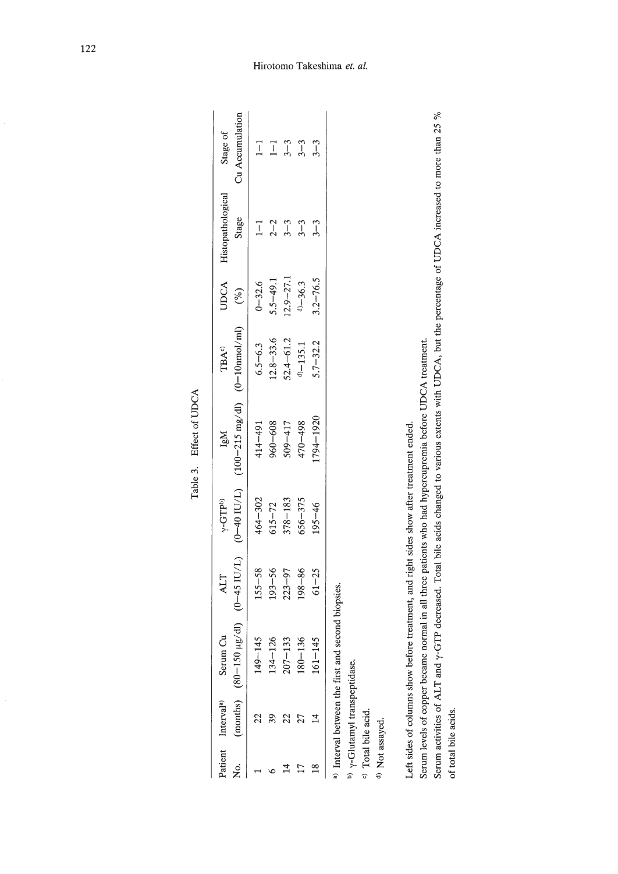|                            | Patient Interval <sup>a)</sup> | Serum Cu                                                                                                                                                                                                                       | ALT        | $\gamma$ -GTP <sup>b</sup> ) | lgM                                                                                | <b>TBA°</b>   | <b>UDCA</b>   | Histopathological | Stage of        |
|----------------------------|--------------------------------|--------------------------------------------------------------------------------------------------------------------------------------------------------------------------------------------------------------------------------|------------|------------------------------|------------------------------------------------------------------------------------|---------------|---------------|-------------------|-----------------|
| è<br>Ž                     |                                |                                                                                                                                                                                                                                |            |                              | (months) (80-150 $\mu$ g/dl) (0-45 IU/L) (0-40 IU/L) (100-215 mg/dl) (0-10nmol/ml) |               | $($ % $)$     | Stage             | Cu Accumulation |
|                            |                                | $149 - 145$                                                                                                                                                                                                                    | $155 - 58$ | 464-302                      | 414-491                                                                            | $6.5 - 6.3$   | $0 - 32.6$    | $1 - 1$           | $\overline{1}$  |
|                            |                                | $134 - 126$                                                                                                                                                                                                                    | $193 - 56$ | $615 - 72$                   | 960-608                                                                            | $12.8 - 33.6$ | $5.5 - 49.1$  | $2 - 2$           | $\overline{1}$  |
|                            |                                | $207 - 133$                                                                                                                                                                                                                    | $223 - 97$ | $378 - 183$                  | $509 - 417$                                                                        | $52.4 - 61.2$ | $12.9 - 27.1$ | $3 - 3$           | $3 - 3$         |
|                            |                                | $180 - 136$                                                                                                                                                                                                                    | $198 - 86$ | $656 - 375$                  | 470-498                                                                            | $d$ $-135.1$  | $d) - 36.3$   | $3 - 3$           | $3 - 3$         |
| $^{\circ}$                 | 4                              | $161 - 145$                                                                                                                                                                                                                    | $61 - 25$  | $195 - 46$                   | 1794-1920                                                                          | $5.7 - 32.2$  | $3.2 - 76.5$  | $3 - 3$           | $3 - 3$         |
|                            |                                | <sup>a)</sup> Interval between the first and second biopsies.                                                                                                                                                                  |            |                              |                                                                                    |               |               |                   |                 |
|                            | b) y-Glutamyl transpeptidase.  |                                                                                                                                                                                                                                |            |                              |                                                                                    |               |               |                   |                 |
|                            | <sup>c)</sup> Total bile acid. |                                                                                                                                                                                                                                |            |                              |                                                                                    |               |               |                   |                 |
| <sup>d)</sup> Not assayed. |                                |                                                                                                                                                                                                                                |            |                              |                                                                                    |               |               |                   |                 |
|                            |                                |                                                                                                                                                                                                                                |            |                              |                                                                                    |               |               |                   |                 |
|                            |                                | I all and we can in a control of the control of the second control of the control of the control of the control of the control of the control of the control of the control of the control of the control of the control of th |            |                              |                                                                                    |               |               |                   |                 |

Table 3. Effect of UDCA Table 3. Effect of UDCA

Left sides of columns show before treatment, and right sides show after treatment ended. Left sides of columns show before treatment, and right sides show after treatment ended.

Serum levels of copper became normal in all three patients who had hypercupremia before UDCA treatment. Serum levels of copper became normal in all three patients who had hypercupremia before UDCA treatment.

Serum activities of ALT and y-GTP decreased. Total bile acids changed to various extents with UDCA, but the percentage of UDCA increased to more than 25 % Serum activities of ALT and y-GTP decreased. Total bile acids changed to various extents with UDCA, but the percentage of UDCA increased to more than 25 % of total bile acids. of total bile acids.

# Hirotomo Takeshima *et. al*